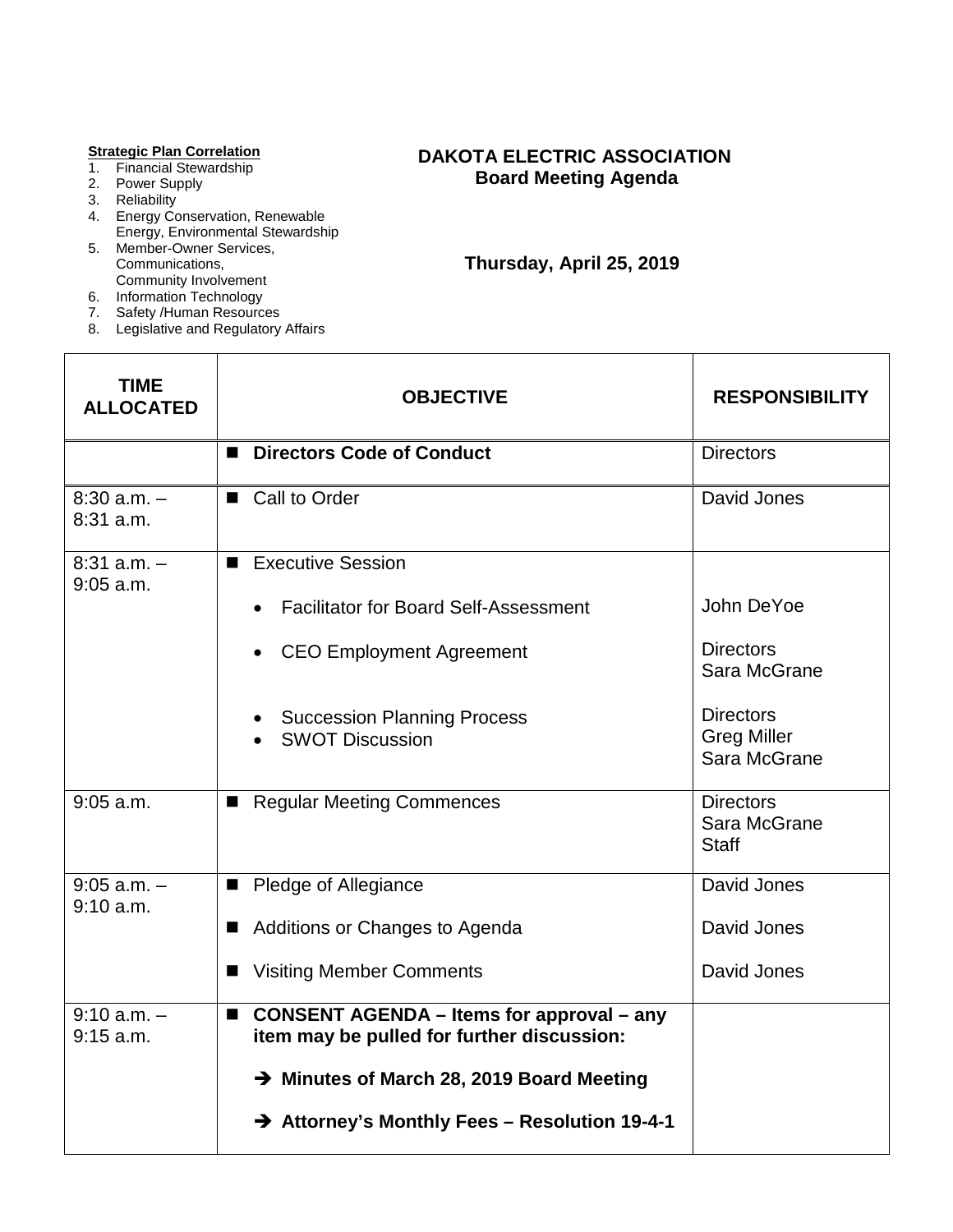#### **Strategic Plan Correlation**

- 1. Financial Stewardship
- 2. Power Supply
- 3. Reliability
- 4. Energy Conservation, Renewable Energy, Environmental Stewardship
- 5. Member-Owner Services, Communications, Community Involvement
- 6. Information Technology
- 7. Safety /Human Resources
- 8. Legislative and Regulatory Affairs

### **DAKOTA ELECTRIC ASSOCIATION Board Meeting Agenda**

 **Thursday, April 25, 2019**

| TIME<br><b>ALLOCATED</b>       | <b>OBJECTIVE</b>                                                                                                 | <b>RESPONSIBILITY</b>                                  |
|--------------------------------|------------------------------------------------------------------------------------------------------------------|--------------------------------------------------------|
|                                | <b>Directors Code of Conduct</b><br>■                                                                            | <b>Directors</b>                                       |
| $8:30$ a.m. $-$<br>$8:31$ a.m. | ■ Call to Order                                                                                                  | David Jones                                            |
| $8:31$ a.m. $-$<br>$9:05$ a.m. | <b>Executive Session</b><br>■                                                                                    |                                                        |
|                                | <b>Facilitator for Board Self-Assessment</b>                                                                     | John DeYoe                                             |
|                                | <b>CEO Employment Agreement</b>                                                                                  | <b>Directors</b><br>Sara McGrane                       |
|                                | <b>Succession Planning Process</b><br><b>SWOT Discussion</b>                                                     | <b>Directors</b><br><b>Greg Miller</b><br>Sara McGrane |
| $9:05$ a.m.                    | <b>Regular Meeting Commences</b><br>■                                                                            | <b>Directors</b><br>Sara McGrane<br><b>Staff</b>       |
| $9:05$ a.m. $-$<br>9:10 a.m.   | ■ Pledge of Allegiance                                                                                           | David Jones                                            |
|                                | Additions or Changes to Agenda<br>■                                                                              | David Jones                                            |
|                                | <b>Visiting Member Comments</b><br>■                                                                             | David Jones                                            |
| $9:10 a.m. -$<br>$9:15$ a.m.   | <b>CONSENT AGENDA - Items for approval - any</b><br>$\blacksquare$<br>item may be pulled for further discussion: |                                                        |
|                                | → Minutes of March 28, 2019 Board Meeting                                                                        |                                                        |
|                                | → Attorney's Monthly Fees - Resolution 19-4-1                                                                    |                                                        |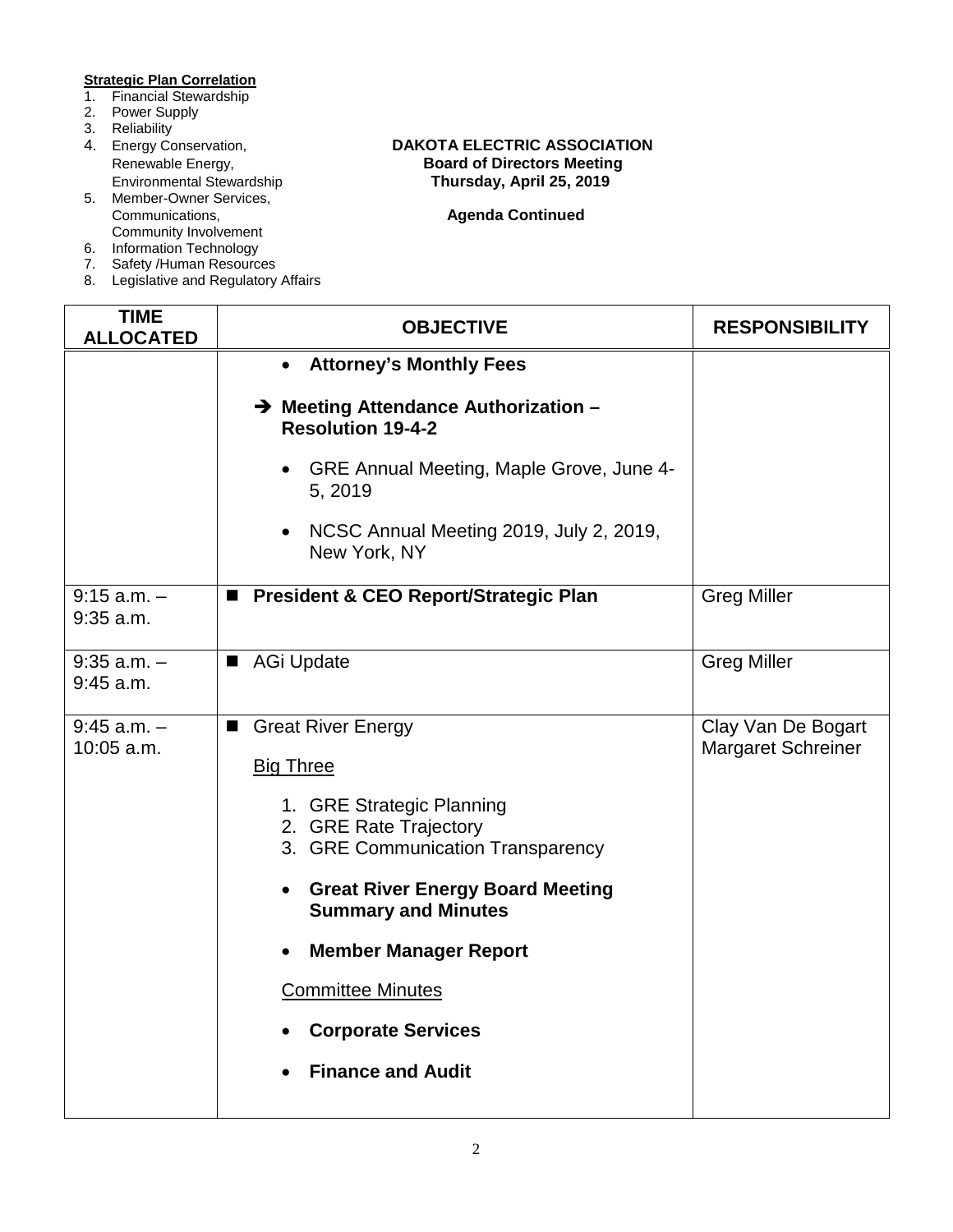# **Strategic Plan Correlation**<br>1. Financial Stewardship

- **Financial Stewardship**
- 2. Power Supply
- 
- 3. Reliability<br>4. Energy Conservation,
- 5. Member-Owner Services, Community Involvement
- 6. Information Technology
- 7. Safety /Human Resources
- 8. Legislative and Regulatory Affairs

### Energy Conservation, **DAKOTA ELECTRIC ASSOCIATION**<br>Renewable Energy, **DAKOTA Board of Directors Meeting** Renewable Energy, **Board of Directors Meeting**<br>
Environmental Stewardship<br> **Renewable Englering**<br> **Board of Directors Meeting**<br> **Renewable Energy, April 25, 2019** Environmental Stewardship **Thursday, April 25, 2019**

| <b>TIME</b><br><b>ALLOCATED</b> | <b>OBJECTIVE</b>                                                                         | <b>RESPONSIBILITY</b>                           |
|---------------------------------|------------------------------------------------------------------------------------------|-------------------------------------------------|
|                                 | <b>Attorney's Monthly Fees</b>                                                           |                                                 |
|                                 | → Meeting Attendance Authorization -<br><b>Resolution 19-4-2</b>                         |                                                 |
|                                 | GRE Annual Meeting, Maple Grove, June 4-<br>5, 2019                                      |                                                 |
|                                 | NCSC Annual Meeting 2019, July 2, 2019,<br>New York, NY                                  |                                                 |
| $9:15$ a.m. $-$<br>$9:35$ a.m.  | President & CEO Report/Strategic Plan                                                    | <b>Greg Miller</b>                              |
| $9:35$ a.m. $-$<br>$9:45$ a.m.  | AGi Update                                                                               | <b>Greg Miller</b>                              |
| $9:45$ a.m. $-$<br>10:05 a.m.   | Great River Energy<br><b>Big Three</b>                                                   | Clay Van De Bogart<br><b>Margaret Schreiner</b> |
|                                 | 1. GRE Strategic Planning<br>2. GRE Rate Trajectory<br>3. GRE Communication Transparency |                                                 |
|                                 | <b>Great River Energy Board Meeting</b><br>$\bullet$<br><b>Summary and Minutes</b>       |                                                 |
|                                 | <b>Member Manager Report</b>                                                             |                                                 |
|                                 | <b>Committee Minutes</b>                                                                 |                                                 |
|                                 | <b>Corporate Services</b>                                                                |                                                 |
|                                 | <b>Finance and Audit</b>                                                                 |                                                 |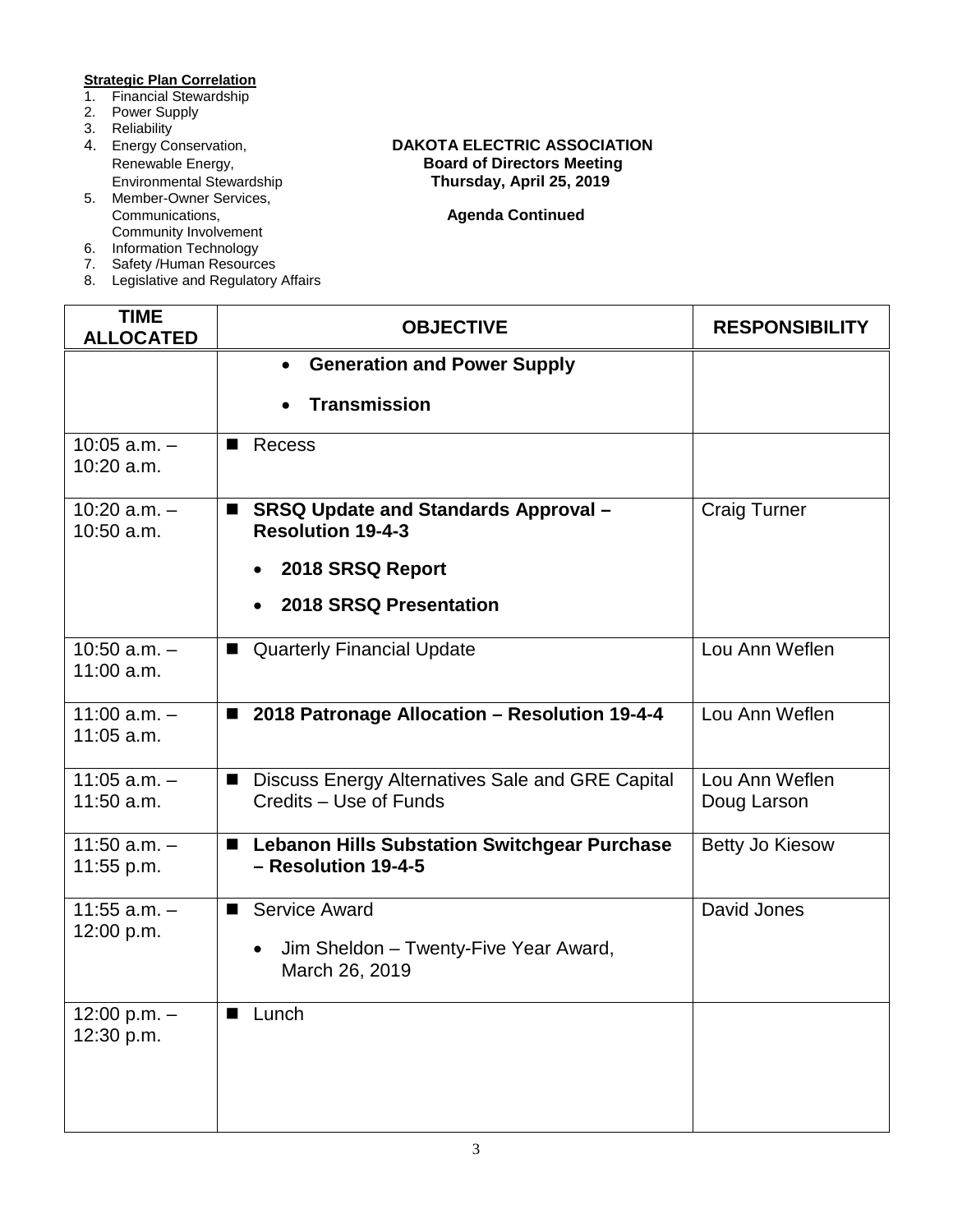# **Strategic Plan Correlation**<br>1. Financial Stewardship

- **Financial Stewardship**
- 2. Power Supply
- 
- 3. Reliability<br>4. Energy Conservation,
- 5. Member-Owner Services, Community Involvement
- 6. Information Technology
- 7. Safety /Human Resources
- 8. Legislative and Regulatory Affairs

### Energy Conservation, **DAKOTA ELECTRIC ASSOCIATION**<br>Renewable Energy, **DAKOTA Board of Directors Meeting** Renewable Energy, **Board of Directors Meeting**<br>
Environmental Stewardship<br> **Renewable Englering**<br> **Board of Directors Meeting** Environmental Stewardship **Thursday, April 25, 2019**

| <b>TIME</b><br><b>ALLOCATED</b>  | <b>OBJECTIVE</b>                                                                                  | <b>RESPONSIBILITY</b>         |
|----------------------------------|---------------------------------------------------------------------------------------------------|-------------------------------|
|                                  | <b>Generation and Power Supply</b><br>$\bullet$                                                   |                               |
|                                  | <b>Transmission</b>                                                                               |                               |
| $10:05$ a.m. $-$<br>10:20 a.m.   | Recess<br>■                                                                                       |                               |
| $10:20$ a.m. $-$<br>$10:50$ a.m. | <b>SRSQ Update and Standards Approval -</b><br>■<br><b>Resolution 19-4-3</b>                      | <b>Craig Turner</b>           |
|                                  | 2018 SRSQ Report<br>$\bullet$                                                                     |                               |
|                                  | 2018 SRSQ Presentation<br>$\bullet$                                                               |                               |
| $10:50$ a.m. $-$<br>$11:00$ a.m. | ■ Quarterly Financial Update                                                                      | Lou Ann Weflen                |
| $11:00$ a.m. $-$<br>$11:05$ a.m. | ■ 2018 Patronage Allocation - Resolution 19-4-4                                                   | Lou Ann Weflen                |
| $11:05$ a.m. $-$<br>11:50 a.m.   | Discuss Energy Alternatives Sale and GRE Capital<br>ш<br>Credits - Use of Funds                   | Lou Ann Weflen<br>Doug Larson |
| $11:50$ a.m. $-$<br>11:55 p.m.   | <b>Lebanon Hills Substation Switchgear Purchase</b><br>п<br>- Resolution 19-4-5                   | <b>Betty Jo Kiesow</b>        |
| $11:55$ a.m. $-$<br>12:00 p.m.   | <b>Service Award</b><br>■<br>Jim Sheldon - Twenty-Five Year Award,<br>$\bullet$<br>March 26, 2019 | David Jones                   |
| 12:00 p.m. $-$<br>12:30 p.m.     | Lunch                                                                                             |                               |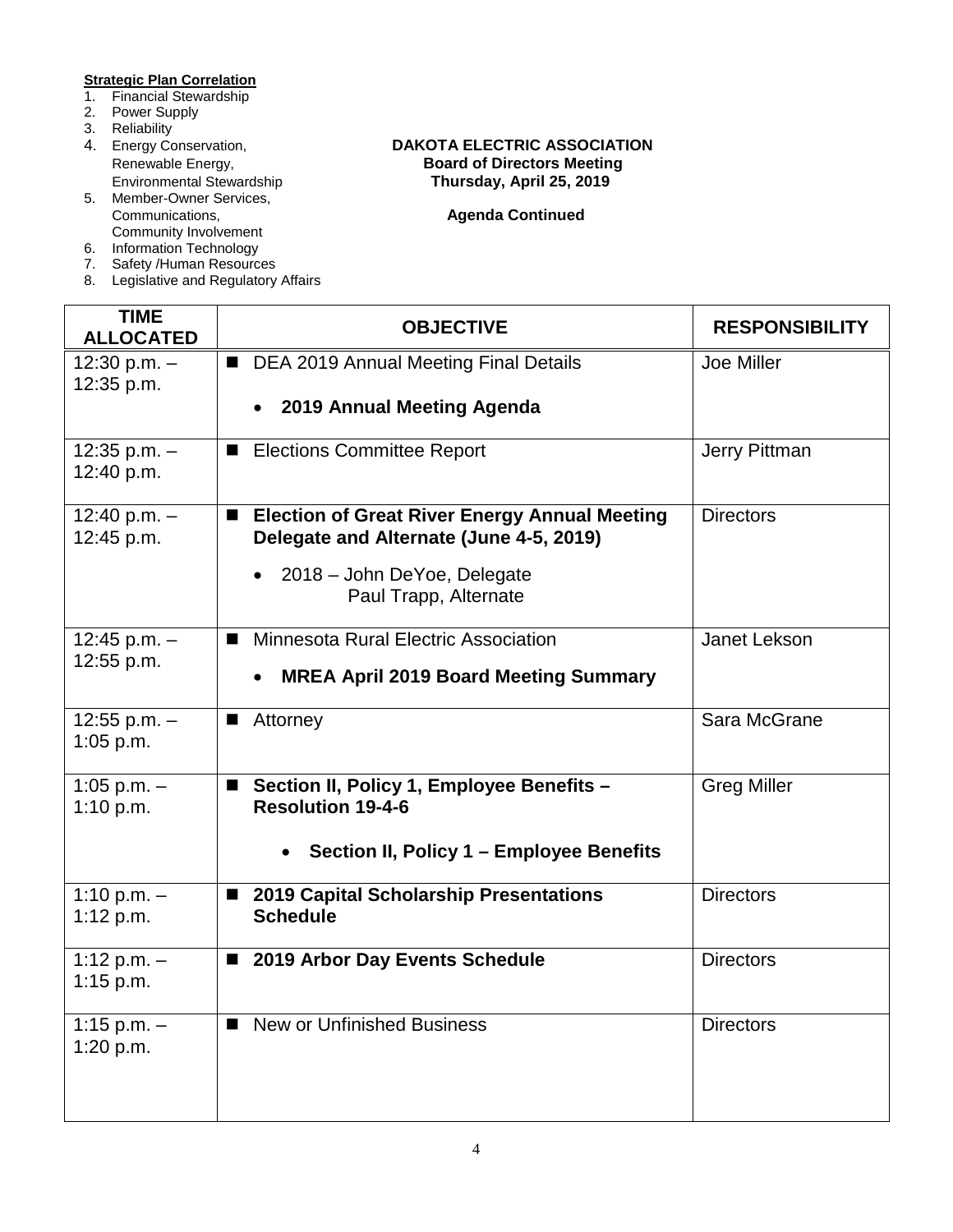# **Strategic Plan Correlation**<br>1. Financial Stewardship

- **Financial Stewardship**
- 2. Power Supply
- 
- 3. Reliability<br>4. Energy Conservation,
- 5. Member-Owner Services, Community Involvement
- 6. Information Technology
- 7. Safety /Human Resources
- 8. Legislative and Regulatory Affairs

### Energy Conservation, **DAKOTA ELECTRIC ASSOCIATION**<br>Renewable Energy, **DAKOTA Board of Directors Meeting** Renewable Energy, **Board of Directors Meeting**<br>
Environmental Stewardship<br> **Renewable Englering**<br> **Board of Directors Meeting** Environmental Stewardship **Thursday, April 25, 2019**

| <b>TIME</b><br><b>ALLOCATED</b> | <b>OBJECTIVE</b>                                                                           | <b>RESPONSIBILITY</b> |
|---------------------------------|--------------------------------------------------------------------------------------------|-----------------------|
| 12:30 p.m. $-$<br>12:35 p.m.    | DEA 2019 Annual Meeting Final Details<br>$\blacksquare$                                    | Joe Miller            |
|                                 | 2019 Annual Meeting Agenda                                                                 |                       |
| 12:35 p.m. $-$<br>12:40 p.m.    | <b>Elections Committee Report</b><br>ш                                                     | Jerry Pittman         |
| 12:40 p.m. $-$<br>12:45 p.m.    | ■ Election of Great River Energy Annual Meeting<br>Delegate and Alternate (June 4-5, 2019) | <b>Directors</b>      |
|                                 | 2018 - John DeYoe, Delegate<br>Paul Trapp, Alternate                                       |                       |
| 12:45 p.m. $-$<br>12:55 p.m.    | Minnesota Rural Electric Association                                                       | Janet Lekson          |
|                                 | <b>MREA April 2019 Board Meeting Summary</b><br>$\bullet$                                  |                       |
| 12:55 p.m. $-$<br>1:05 p.m.     | Attorney<br>■                                                                              | Sara McGrane          |
| 1:05 p.m. $-$<br>1:10 p.m.      | Section II, Policy 1, Employee Benefits -<br>п<br><b>Resolution 19-4-6</b>                 | <b>Greg Miller</b>    |
|                                 | Section II, Policy 1 - Employee Benefits                                                   |                       |
| 1:10 p.m. $-$<br>1:12 $p.m.$    | <b>2019 Capital Scholarship Presentations</b><br>$\blacksquare$<br><b>Schedule</b>         | <b>Directors</b>      |
| 1:12 p.m. $-$<br>$1:15$ p.m.    | 2019 Arbor Day Events Schedule                                                             | <b>Directors</b>      |
| 1:15 p.m. $-$<br>1:20 p.m.      | <b>New or Unfinished Business</b><br>$\blacksquare$                                        | <b>Directors</b>      |